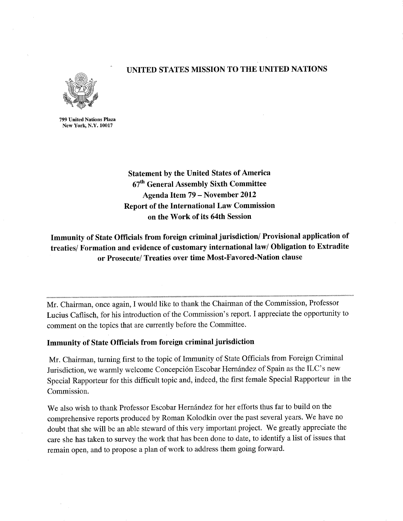# UNITED STATES MISSION TO THE UNITED NATIONS



799 United Nations Plaza New York, N.Y. 10017

> Statement by the United States of America 67<sup>th</sup> General Assembly Sixth Committee Agenda Item 79 - November 2012 Report of the International Law Commission on the Work of its 64th Session

# Immunity of State Officials from foreign criminal jurisdiction/Provisional application of treaties/Formation and evidence of customary international law/Obligation to Extradite or Prosecute/Treaties over time Most-Favored-Nation clause

Mr. Chairman, once again, I would like to thank the Chairman of the Commission, Professor Lucius Caflisch, for his introduction of the Commission's report. I appreciate the opportunity to comment on the topics that are currently before the Committee.

# Immunity of State Officials from foreign criminal jurisdiction

Mr. Chairman, turning first to the topic of Immunity of State Officials from Foreign Criminal Jurisdiction, we warmly welcome Concepción Escobar Hernández of Spain as the ILC's new Special Rapporteur for this difficult topic and, indeed, the first female Special Rapporteur in the Commission.

We also wish to thank Professor Escobar Hernández for her efforts thus far to build on the comprehensive reports produced by Roman Kolodkin over the past several years. We have no doubt that she will be an able steward of this very important project. We greatly appreciate the care she has taken to survey the work that has been done to date, to identify a list of issues that remain open, and to propose a plan of work to address them going forward.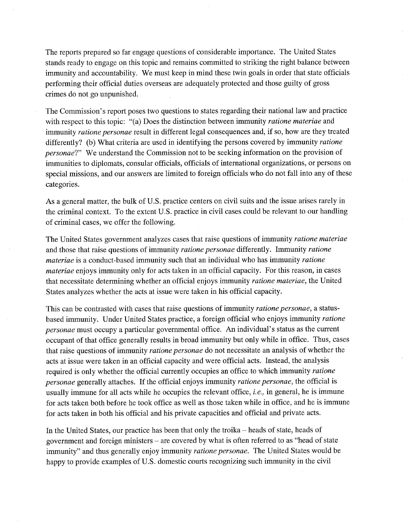The reports prepared so far engage questions of considerable importance. The United States stands ready to engage on this topic and remains committed to striking the right balance between immunity and accountability. We must keep in mind these twin goals in order that state officials performing their official duties overseas are adequately protected and those guilty of gross crimes do not go unpunished.

The Commission's report poses two questions to states regarding their national law and practice with respect to this topic: "(a) Does the distinction between immunity *ratione materiae* and immunity ratione personae result in different legal consequences and, if so, how are they treated differently? (b) What criteria are used in identifying the persons covered by immunity *ratione* personae?" We understand the Commission not to be seeking information on the provision of immunities to diplomats, consular officials, officials of international organizations, or persons on special missions, and our answers are limited to foreign officials who do not fall into any of these categories.

As a general matter, the bulk of U.S. practice centers on civil suits and the issue arises rarely in the criminal context. To the extent U.S. practice in civil cases could be relevant to our handling of criminal cases, we offer the following.

The United States government analyzes cases that raise questions of immunity *ratione materiae* and those that raise questions of immunity ratione personae differently. Immunity ratione materiae is a conduct-based immunity such that an individual who has immunity ratione materiae enjoys immunity only for acts taken in an official capacity. For this reason, in cases that necessitate determining whether an official enjoys immunity ratione materiae, the United States analyzes whether the acts at issue were taken in his official capacity.

This can be contrasted with cases that raise questions of immunity *ratione personae*, a statusbased immunity. Under United States practice, a foreign official who enjoys immunity ratione personae must occupy a particular governmental office. An individual's status as the current occupant of that office generally results in broad immunity but only while in office. Thus, cases that raise questions of immunity ratione personae do not necessitate an analysis of whether the acts at issue were taken in an official capacity and were official acts. Instead, the analysis required is only whether the official currently occupies an office to which immunity ratione personae generally attaches. If the official enjoys immunity ratione personae, the official is usually immune for all acts while he occupies the relevant office, *i.e.*, in general, he is immune for acts taken both before he took office as well as those taken while in office, and he is immune for acts taken in both his official and his private capacities and official and private acts.

In the United States, our practice has been that only the troika - heads of state, heads of government and foreign ministers - are covered by what is often referred to as "head of state immunity" and thus generally enjoy immunity *ratione personae*. The United States would be happy to provide examples of U.S. domestic courts recognizing such immunity in the civil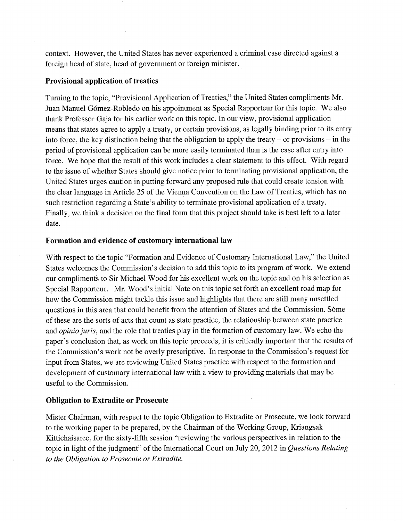context. However, the United States has never experienced a criminal case directed against a foreign head of state, head of government or foreign minister.

# Provisional application of treaties

Turning to the topic, "Provisional Application of Treaties," the United States compliments Mr. Juan Manuel G6mez-Robledo on his appointment as Special Rapporteur for this topic. We also thank Professor Gaja for his earlier work on this topic. In our view, provisional application means that states agree to apply a treaty, or certain provisions, as legally binding prior to its entry into force, the key distinction being that the obligation to apply the treaty  $-$  or provisions  $-$  in the period of provisional application can be more easily terminated than is the case after entry into force. We hope that the result of this work includes a clear statement to this effect. With regard to the issue of whether States should give notice prior to terminating provisional application, the United States urges caution in putting forward any proposed rule that could create tension with the clear language in Article 25 of the Vienna Convention on the Law of Treaties, which has no such restriction regarding a State's ability to terminate provisional application of a treaty. Finally, we think a decision on the final form that this project should take is best left to a later date.

#### Formation and evidence of customary international law

With respect to the topic "Formation and Evidence of Customary International Law," the United States welcomes the Commission's decision to add this topic to its program of work. We extend our compliments to Sir Michael Wood for his excellent work on the topic and on his selection as Special Rapporteur. Mr. Wood's initial Note on this topic set forth an excellent road map for how the Commission might tackle this issue and highlights that there are still many unsettled questions in this area that could benefit from the attention of States and the Commission. Sóme of these are the sorts of acts that count as state practice, the relationship between state practice and opinio juris, and the role that treaties play in the formation of customary law. We echo the paper's conclusion that, as work on this topic proceeds, it is critically important that the results of the Commission's work not be overly prescriptive. In response to the Commission's request for input from States, we are reviewing United States practice with respect to the formation and development of customary international law with a view to providing materials that may be useful to the Commission.

# Obligation to Extradite or Prosecute

Mister Chairman, with respect to the topic Obligation to Extradite or Prosecute, we look forward to the working paper to be prepared, by the Chairman of the Working Group, Kriangsak Kittichaisaree, for the sixty-fifth session "reviewing the various perspectives in relation to the topic in light of the judgment" of the International Court on July 20, 2012 in Questions Relating to the Obligation to Prosecute or Extradite.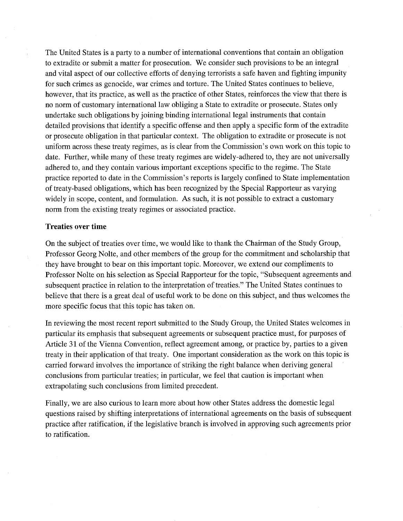The United States is a party to a number of international conventions that contain an obligation to extradite or submit a matter for prosecution. We consider such provisions to be an integral and vital aspect of our collective efforts of denying terrorists a safe haven and fighting impunity for such crimes as genocide, war crimes and torture. The United States continues to believe, however, that its practice, as well as the practice of other States, reinforces the view that there is no norm of customary international law obliging a State to extradite or prosecute. States only undertake such obligations by joining binding international legal instruments that contain detailed provisions that identify a specific offense and then apply a specific form of the extradite or prosecute obligation in that particular context. The obligation to extradite or prosecute is not uniform across these treaty regimes, as is clear from the Commission' s own work on this topic to date. Further, while many of these treaty regimes are widely-adhered to, they are not universally adhered to, and they contain various important exceptions specific to the regime. The State practice reported to date in the Commission's reports is largely confined to State implementation of treaty-based obligations, which has been recognized by the Special Rapporteur as varying widely in scope, content, and formulation. As such, it is not possible to extract a customary norm from the existing treaty regimes or associated practice.

#### Treaties over time

On the subject of treaties over time, we would like to thank the Chairman of the Study Group, Professor Georg Nolte, and other members of the group for the commitment and scholarship that they have brought to bear on this important topic. Moreover, we extend our compliments to Professor Nolte on his selection as Special Rapporteur for the topic, "Subsequent agreements and subsequent practice in relation to the interpretation of treaties." The United States continues to believe that there is a great deal of useful work to be done on this subject, and thus welcomes the more specific focus that this topic has taken on.

In reviewing the most recent report submitted to the Study Group, the United States welcomes in particular its emphasis that subsequent agreements or subsequent practice must, for purposes of Article 31 of the Vienna Convention, reflect agreement among, or practice by, parties to a given treaty in their application of that treaty. One important consideration as the work on this topic is carried forward involves the importance of striking the right balance when deriving general conclusions from particular treaties; in particular, we feel that caution is important when extrapolating such conclusions from limited precedent.

Finally, we are also curious to learn more about how other States address the domestic legal questions raised by shifting interpretations of international agreements on the basis of subsequent practice after ratification, if the legislative branch is involved in approving such agreements prior to ratification.